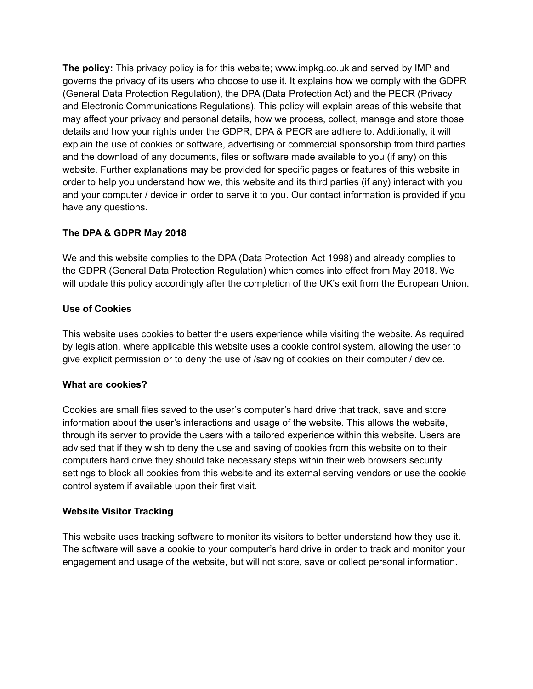**The policy:** This privacy policy is for this website; www.impkg.co.uk and served by IMP and governs the privacy of its users who choose to use it. It explains how we comply with the GDPR (General Data Protection Regulation), the DPA (Data Protection Act) and the PECR (Privacy and Electronic Communications Regulations). This policy will explain areas of this website that may affect your privacy and personal details, how we process, collect, manage and store those details and how your rights under the GDPR, DPA & PECR are adhere to. Additionally, it will explain the use of cookies or software, advertising or commercial sponsorship from third parties and the download of any documents, files or software made available to you (if any) on this website. Further explanations may be provided for specific pages or features of this website in order to help you understand how we, this website and its third parties (if any) interact with you and your computer / device in order to serve it to you. Our contact information is provided if you have any questions.

### **The DPA & GDPR May 2018**

We and this website complies to the DPA (Data Protection Act 1998) and already complies to the GDPR (General Data Protection Regulation) which comes into effect from May 2018. We will update this policy accordingly after the completion of the UK's exit from the European Union.

#### **Use of Cookies**

This website uses cookies to better the users experience while visiting the website. As required by legislation, where applicable this website uses a cookie control system, allowing the user to give explicit permission or to deny the use of /saving of cookies on their computer / device.

#### **What are cookies?**

Cookies are small files saved to the user's computer's hard drive that track, save and store information about the user's interactions and usage of the website. This allows the website, through its server to provide the users with a tailored experience within this website. Users are advised that if they wish to deny the use and saving of cookies from this website on to their computers hard drive they should take necessary steps within their web browsers security settings to block all cookies from this website and its external serving vendors or use the cookie control system if available upon their first visit.

#### **Website Visitor Tracking**

This website uses tracking software to monitor its visitors to better understand how they use it. The software will save a cookie to your computer's hard drive in order to track and monitor your engagement and usage of the website, but will not store, save or collect personal information.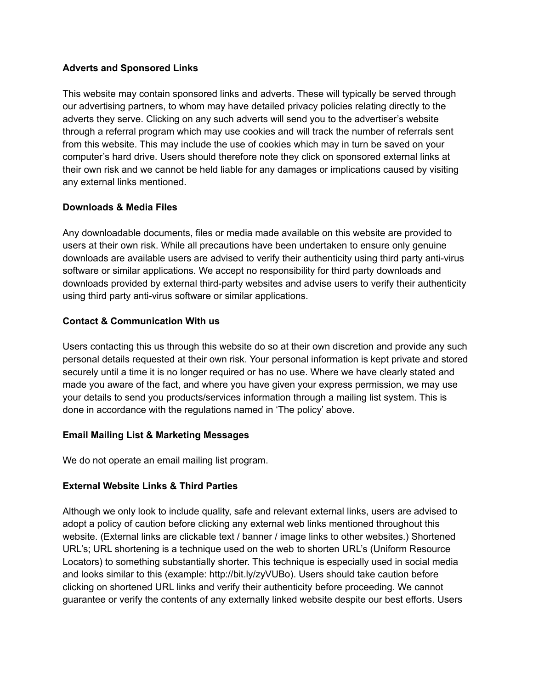### **Adverts and Sponsored Links**

This website may contain sponsored links and adverts. These will typically be served through our advertising partners, to whom may have detailed privacy policies relating directly to the adverts they serve. Clicking on any such adverts will send you to the advertiser's website through a referral program which may use cookies and will track the number of referrals sent from this website. This may include the use of cookies which may in turn be saved on your computer's hard drive. Users should therefore note they click on sponsored external links at their own risk and we cannot be held liable for any damages or implications caused by visiting any external links mentioned.

### **Downloads & Media Files**

Any downloadable documents, files or media made available on this website are provided to users at their own risk. While all precautions have been undertaken to ensure only genuine downloads are available users are advised to verify their authenticity using third party anti-virus software or similar applications. We accept no responsibility for third party downloads and downloads provided by external third-party websites and advise users to verify their authenticity using third party anti-virus software or similar applications.

# **Contact & Communication With us**

Users contacting this us through this website do so at their own discretion and provide any such personal details requested at their own risk. Your personal information is kept private and stored securely until a time it is no longer required or has no use. Where we have clearly stated and made you aware of the fact, and where you have given your express permission, we may use your details to send you products/services information through a mailing list system. This is done in accordance with the regulations named in 'The policy' above.

# **Email Mailing List & Marketing Messages**

We do not operate an email mailing list program.

# **External Website Links & Third Parties**

Although we only look to include quality, safe and relevant external links, users are advised to adopt a policy of caution before clicking any external web links mentioned throughout this website. (External links are clickable text / banner / image links to other websites.) Shortened URL's; URL shortening is a technique used on the web to shorten URL's (Uniform Resource Locators) to something substantially shorter. This technique is especially used in social media and looks similar to this (example: http://bit.ly/zyVUBo). Users should take caution before clicking on shortened URL links and verify their authenticity before proceeding. We cannot guarantee or verify the contents of any externally linked website despite our best efforts. Users